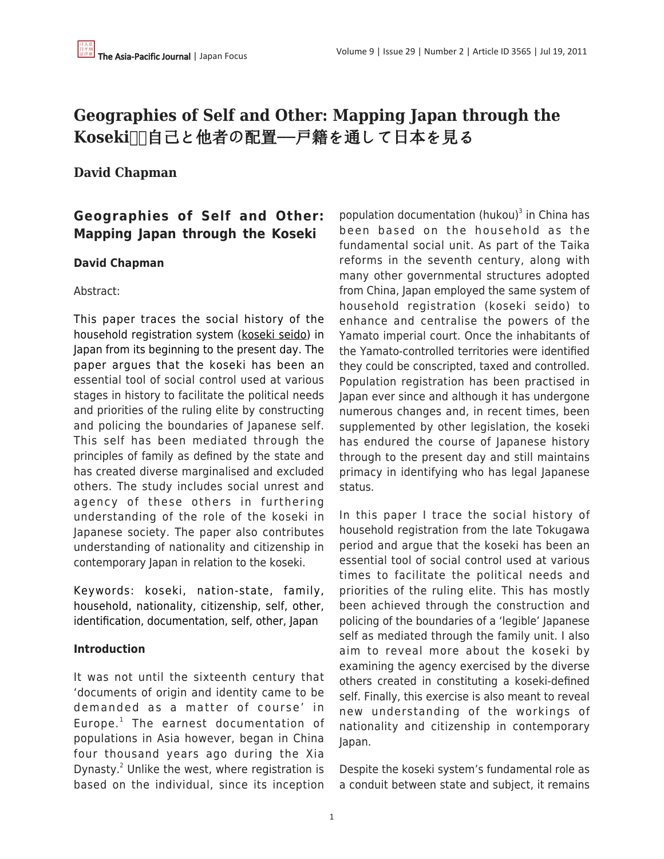# **Geographies of Self and Other: Mapping Japan through the** Koseki **□自己と他者の配置**ー戸籍を通して日本を見る

## **David Chapman**

## **Geographies of Self and Other: Mapping Japan through the Koseki**

## **David Chapman**

## Abstract:

This paper traces the social history of the household registration system (koseki seido) in Japan from its beginning to the present day. The paper argues that the koseki has been an essential tool of social control used at various stages in history to facilitate the political needs and priorities of the ruling elite by constructing and policing the boundaries of Japanese self. This self has been mediated through the principles of family as defined by the state and has created diverse marginalised and excluded others. The study includes social unrest and agency of these others in furthering understanding of the role of the koseki in Japanese society. The paper also contributes understanding of nationality and citizenship in contemporary Japan in relation to the koseki.

Keywords: koseki, nation-state, family, household, nationality, citizenship, self, other, identification, documentation, self, other, Japan

## **Introduction**

It was not until the sixteenth century that 'documents of origin and identity came to be demanded as a matter of course' in Europe.<sup>1</sup> The earnest documentation of populations in Asia however, began in China four thousand years ago during the Xia Dynasty.<sup>2</sup> Unlike the west, where registration is based on the individual, since its inception

population documentation (hukou) 3 in China has been based on the household as the fundamental social unit. As part of the Taika reforms in the seventh century, along with many other governmental structures adopted from China, Japan employed the same system of household registration (koseki seido) to enhance and centralise the powers of the Yamato imperial court. Once the inhabitants of the Yamato-controlled territories were identified they could be conscripted, taxed and controlled. Population registration has been practised in Japan ever since and although it has undergone numerous changes and, in recent times, been supplemented by other legislation, the koseki has endured the course of Japanese history through to the present day and still maintains primacy in identifying who has legal Japanese status.

In this paper I trace the social history of household registration from the late Tokugawa period and argue that the koseki has been an essential tool of social control used at various times to facilitate the political needs and priorities of the ruling elite. This has mostly been achieved through the construction and policing of the boundaries of a 'legible' Japanese self as mediated through the family unit. I also aim to reveal more about the koseki by examining the agency exercised by the diverse others created in constituting a koseki-defined self. Finally, this exercise is also meant to reveal new understanding of the workings of nationality and citizenship in contemporary Japan.

Despite the koseki system's fundamental role as a conduit between state and subject, it remains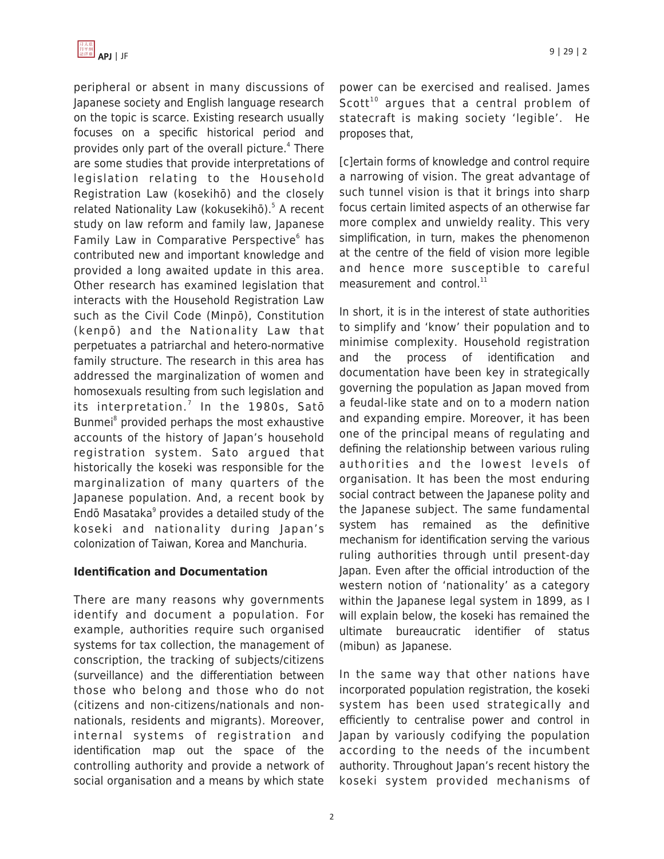

peripheral or absent in many discussions of Japanese society and English language research on the topic is scarce. Existing research usually focuses on a specific historical period and provides only part of the overall picture.<sup>4</sup> There are some studies that provide interpretations of legislation relating to the Household Registration Law (kosekihō) and the closely related Nationality Law (kokusekihō).<sup>5</sup> A recent study on law reform and family law, Japanese Family Law in Comparative Perspective<sup>6</sup> has contributed new and important knowledge and provided a long awaited update in this area. Other research has examined legislation that interacts with the Household Registration Law such as the Civil Code (Minpō), Constitution (kenpō) and the Nationality Law that perpetuates a patriarchal and hetero-normative family structure. The research in this area has addressed the marginalization of women and homosexuals resulting from such legislation and its interpretation.<sup>7</sup> In the 1980s, Satō Bunmei<sup>8</sup> provided perhaps the most exhaustive accounts of the history of Japan's household registration system. Sato argued that historically the koseki was responsible for the marginalization of many quarters of the Japanese population. And, a recent book by Endō Masataka<sup>9</sup> provides a detailed study of the koseki and nationality during Japan's colonization of Taiwan, Korea and Manchuria.

## **Identification and Documentation**

There are many reasons why governments identify and document a population. For example, authorities require such organised systems for tax collection, the management of conscription, the tracking of subjects/citizens (surveillance) and the differentiation between those who belong and those who do not (citizens and non-citizens/nationals and nonnationals, residents and migrants). Moreover, internal systems of registration and identification map out the space of the controlling authority and provide a network of social organisation and a means by which state power can be exercised and realised. James Scott<sup>10</sup> argues that a central problem of statecraft is making society 'legible'. He proposes that,

[c]ertain forms of knowledge and control require a narrowing of vision. The great advantage of such tunnel vision is that it brings into sharp focus certain limited aspects of an otherwise far more complex and unwieldy reality. This very simplification, in turn, makes the phenomenon at the centre of the field of vision more legible and hence more susceptible to careful measurement and control. $^{11}$ 

In short, it is in the interest of state authorities to simplify and 'know' their population and to minimise complexity. Household registration and the process of identification and documentation have been key in strategically governing the population as Japan moved from a feudal-like state and on to a modern nation and expanding empire. Moreover, it has been one of the principal means of regulating and defining the relationship between various ruling authorities and the lowest levels of organisation. It has been the most enduring social contract between the Japanese polity and the Japanese subject. The same fundamental system has remained as the definitive mechanism for identification serving the various ruling authorities through until present-day Japan. Even after the official introduction of the western notion of 'nationality' as a category within the Japanese legal system in 1899, as I will explain below, the koseki has remained the ultimate bureaucratic identifier of status (mibun) as Japanese.

In the same way that other nations have incorporated population registration, the koseki system has been used strategically and efficiently to centralise power and control in Japan by variously codifying the population according to the needs of the incumbent authority. Throughout Japan's recent history the koseki system provided mechanisms of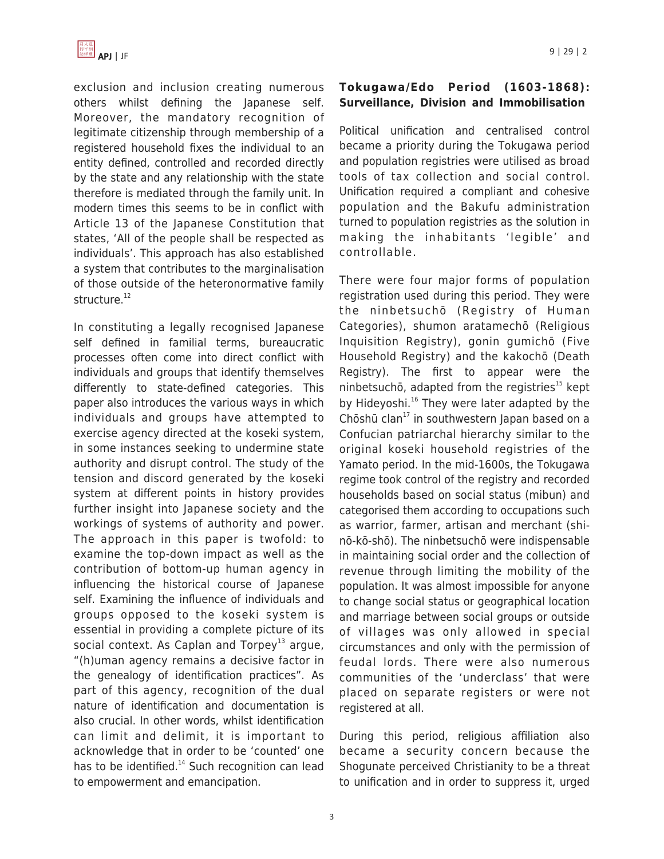

exclusion and inclusion creating numerous others whilst defining the Japanese self. Moreover, the mandatory recognition of legitimate citizenship through membership of a registered household fixes the individual to an entity defined, controlled and recorded directly by the state and any relationship with the state therefore is mediated through the family unit. In modern times this seems to be in conflict with Article 13 of the Japanese Constitution that states, 'All of the people shall be respected as individuals'. This approach has also established a system that contributes to the marginalisation of those outside of the heteronormative family structure.<sup>12</sup>

In constituting a legally recognised Japanese self defined in familial terms, bureaucratic processes often come into direct conflict with individuals and groups that identify themselves differently to state-defined categories. This paper also introduces the various ways in which individuals and groups have attempted to exercise agency directed at the koseki system, in some instances seeking to undermine state authority and disrupt control. The study of the tension and discord generated by the koseki system at different points in history provides further insight into Japanese society and the workings of systems of authority and power. The approach in this paper is twofold: to examine the top-down impact as well as the contribution of bottom-up human agency in influencing the historical course of Japanese self. Examining the influence of individuals and groups opposed to the koseki system is essential in providing a complete picture of its social context. As Caplan and Torpey<sup>13</sup> argue, "(h)uman agency remains a decisive factor in the genealogy of identification practices". As part of this agency, recognition of the dual nature of identification and documentation is also crucial. In other words, whilst identification can limit and delimit, it is important to acknowledge that in order to be 'counted' one has to be identified. $14$  Such recognition can lead to empowerment and emancipation.

## **Tokugawa/Edo Period (1603-1868): Surveillance, Division and Immobilisation**

Political unification and centralised control became a priority during the Tokugawa period and population registries were utilised as broad tools of tax collection and social control. Unification required a compliant and cohesive population and the Bakufu administration turned to population registries as the solution in making the inhabitants 'legible' and controllable.

There were four major forms of population registration used during this period. They were the ninbetsuchō (Registry of Human Categories), shumon aratamechō (Religious Inquisition Registry), gonin gumichō (Five Household Registry) and the kakochō (Death Registry). The first to appear were the ninbetsuchō, adapted from the registries $15$  kept by Hideyoshi.<sup>16</sup> They were later adapted by the Chōshū clan<sup>17</sup> in southwestern Japan based on a Confucian patriarchal hierarchy similar to the original koseki household registries of the Yamato period. In the mid-1600s, the Tokugawa regime took control of the registry and recorded households based on social status (mibun) and categorised them according to occupations such as warrior, farmer, artisan and merchant (shinō-kō-shō). The ninbetsuchō were indispensable in maintaining social order and the collection of revenue through limiting the mobility of the population. It was almost impossible for anyone to change social status or geographical location and marriage between social groups or outside of villages was only allowed in special circumstances and only with the permission of feudal lords. There were also numerous communities of the 'underclass' that were placed on separate registers or were not registered at all.

During this period, religious affiliation also became a security concern because the Shogunate perceived Christianity to be a threat to unification and in order to suppress it, urged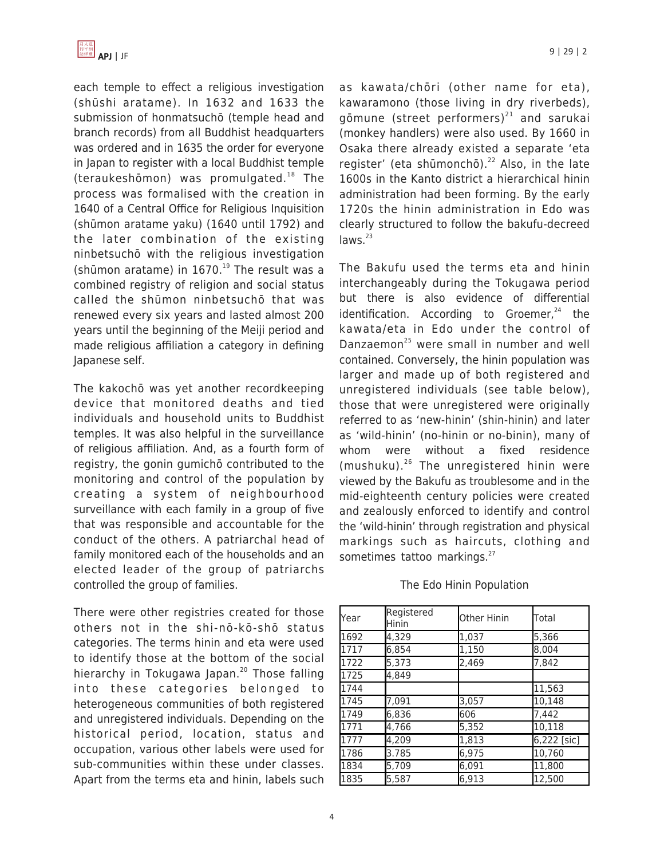

each temple to effect a religious investigation (shūshi aratame). In 1632 and 1633 the submission of honmatsuchō (temple head and branch records) from all Buddhist headquarters was ordered and in 1635 the order for everyone in Japan to register with a local Buddhist temple (teraukeshōmon) was promulgated. $18$  The process was formalised with the creation in 1640 of a Central Office for Religious Inquisition (shūmon aratame yaku) (1640 until 1792) and the later combination of the existing ninbetsuchō with the religious investigation (shūmon aratame) in  $1670.<sup>19</sup>$  The result was a combined registry of religion and social status called the shūmon ninbetsuchō that was renewed every six years and lasted almost 200 years until the beginning of the Meiji period and made religious affiliation a category in defining Japanese self.

The kakochō was yet another recordkeeping device that monitored deaths and tied individuals and household units to Buddhist temples. It was also helpful in the surveillance of religious affiliation. And, as a fourth form of registry, the gonin gumichō contributed to the monitoring and control of the population by creating a system of neighbourhood surveillance with each family in a group of five that was responsible and accountable for the conduct of the others. A patriarchal head of family monitored each of the households and an elected leader of the group of patriarchs controlled the group of families.

There were other registries created for those others not in the shi-nō-kō-shō status categories. The terms hinin and eta were used to identify those at the bottom of the social hierarchy in Tokugawa Japan.<sup>20</sup> Those falling into these categories belonged to heterogeneous communities of both registered and unregistered individuals. Depending on the historical period, location, status and occupation, various other labels were used for sub-communities within these under classes. Apart from the terms eta and hinin, labels such as kawata/chōri (other name for eta), kawaramono (those living in dry riverbeds), gōmune (street performers) $^{21}$  and sarukai (monkey handlers) were also used. By 1660 in Osaka there already existed a separate 'eta reaister' (eta shūmonchō).<sup>22</sup> Also, in the late 1600s in the Kanto district a hierarchical hinin administration had been forming. By the early 1720s the hinin administration in Edo was clearly structured to follow the bakufu-decreed  $laws.<sup>23</sup>$ 

The Bakufu used the terms eta and hinin interchangeably during the Tokugawa period but there is also evidence of differential identification. According to Groemer, $24$  the kawata/eta in Edo under the control of Danzaemon<sup>25</sup> were small in number and well contained. Conversely, the hinin population was larger and made up of both registered and unregistered individuals (see table below), those that were unregistered were originally referred to as 'new-hinin' (shin-hinin) and later as 'wild-hinin' (no-hinin or no-binin), many of whom were without a fixed residence (mushuku).<sup>26</sup> The unregistered hinin were viewed by the Bakufu as troublesome and in the mid-eighteenth century policies were created and zealously enforced to identify and control the 'wild-hinin' through registration and physical markings such as haircuts, clothing and sometimes tattoo markings.<sup>27</sup>

| Year | Registered<br>Hinin | Other Hinin | Total       |
|------|---------------------|-------------|-------------|
| 1692 | 4,329               | 1,037       | 5,366       |
| 1717 | 6,854               | 1,150       | 8,004       |
| 1722 | 5,373               | 2,469       | 7,842       |
| 1725 | 4.849               |             |             |
| 1744 |                     |             | 11,563      |
| 1745 | 7,091               | 3,057       | 10,148      |
| 1749 | 6,836               | 606         | 7.442       |
| 1771 | 4,766               | 5,352       | 10,118      |
| 1777 | $\sqrt{4}$ , 209    | 1,813       | 6,222 [sic] |
| 1786 | 3.785               | 6,975       | 10,760      |
| 1834 | 5,709               | 6,091       | 11,800      |
| 1835 | 5,587               | 6,913       | 12,500      |

#### The Edo Hinin Population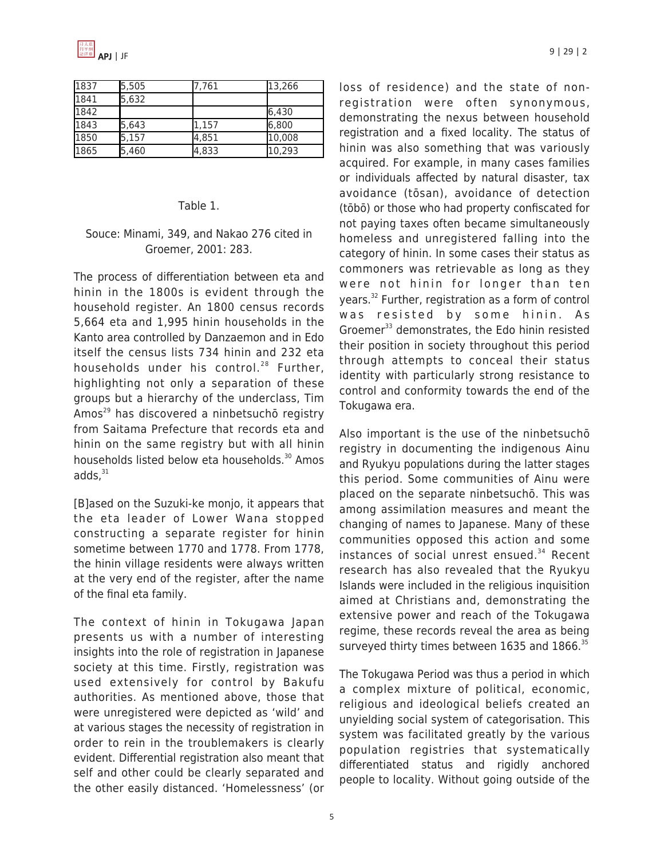

| 1837 | 5,505 | 7.761 | 13,266 |
|------|-------|-------|--------|
| 1841 | 5,632 |       |        |
| 1842 |       |       | 6,430  |
| 1843 | 5,643 | 1,157 | 6,800  |
| 1850 | 5,157 | 4,851 | 10,008 |
| 1865 | 5,460 | 4,833 | 10,293 |

#### Table 1.

#### Souce: Minami, 349, and Nakao 276 cited in Groemer, 2001: 283.

The process of differentiation between eta and hinin in the 1800s is evident through the household register. An 1800 census records 5,664 eta and 1,995 hinin households in the Kanto area controlled by Danzaemon and in Edo itself the census lists 734 hinin and 232 eta households under his control.<sup>28</sup> Further, highlighting not only a separation of these groups but a hierarchy of the underclass, Tim Amos<sup>29</sup> has discovered a ninbetsuchō registry from Saitama Prefecture that records eta and hinin on the same registry but with all hinin households listed below eta households.<sup>30</sup> Amos  $adds<sub>1</sub><sup>31</sup>$ 

[B]ased on the Suzuki-ke monjo, it appears that the eta leader of Lower Wana stopped constructing a separate register for hinin sometime between 1770 and 1778. From 1778, the hinin village residents were always written at the very end of the register, after the name of the final eta family.

The context of hinin in Tokugawa Japan presents us with a number of interesting insights into the role of registration in Japanese society at this time. Firstly, registration was used extensively for control by Bakufu authorities. As mentioned above, those that were unregistered were depicted as 'wild' and at various stages the necessity of registration in order to rein in the troublemakers is clearly evident. Differential registration also meant that self and other could be clearly separated and the other easily distanced. 'Homelessness' (or loss of residence) and the state of nonregistration were often synonymous, demonstrating the nexus between household registration and a fixed locality. The status of hinin was also something that was variously acquired. For example, in many cases families or individuals affected by natural disaster, tax avoidance (tōsan), avoidance of detection (tōbō) or those who had property confiscated for not paying taxes often became simultaneously homeless and unregistered falling into the category of hinin. In some cases their status as commoners was retrievable as long as they were not hinin for longer than ten years.<sup>32</sup> Further, registration as a form of control was resisted by some hinin. As Groemer<sup>33</sup> demonstrates, the Edo hinin resisted their position in society throughout this period through attempts to conceal their status identity with particularly strong resistance to control and conformity towards the end of the Tokugawa era.

Also important is the use of the ninbetsuchō registry in documenting the indigenous Ainu and Ryukyu populations during the latter stages this period. Some communities of Ainu were placed on the separate ninbetsuchō. This was among assimilation measures and meant the changing of names to Japanese. Many of these communities opposed this action and some instances of social unrest ensued.<sup>34</sup> Recent research has also revealed that the Ryukyu Islands were included in the religious inquisition aimed at Christians and, demonstrating the extensive power and reach of the Tokugawa regime, these records reveal the area as being surveyed thirty times between 1635 and 1866.<sup>35</sup>

The Tokugawa Period was thus a period in which a complex mixture of political, economic, religious and ideological beliefs created an unyielding social system of categorisation. This system was facilitated greatly by the various population registries that systematically differentiated status and rigidly anchored people to locality. Without going outside of the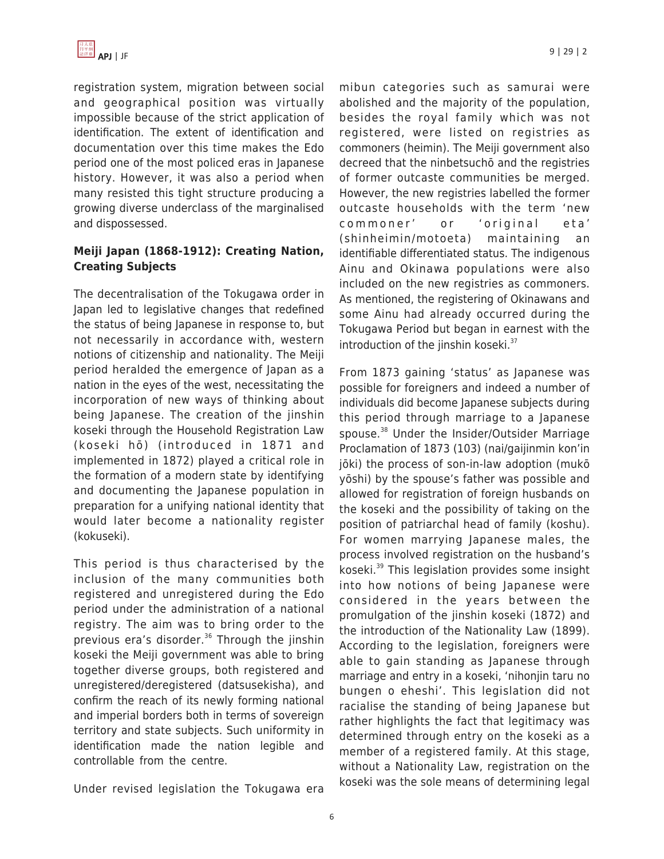

registration system, migration between social and geographical position was virtually impossible because of the strict application of identification. The extent of identification and documentation over this time makes the Edo period one of the most policed eras in Japanese history. However, it was also a period when many resisted this tight structure producing a growing diverse underclass of the marginalised and dispossessed.

## **Meiji Japan (1868-1912): Creating Nation, Creating Subjects**

The decentralisation of the Tokugawa order in Japan led to legislative changes that redefined the status of being Japanese in response to, but not necessarily in accordance with, western notions of citizenship and nationality. The Meiji period heralded the emergence of Japan as a nation in the eyes of the west, necessitating the incorporation of new ways of thinking about being Japanese. The creation of the jinshin koseki through the Household Registration Law (koseki hō) (introduced in 1871 and implemented in 1872) played a critical role in the formation of a modern state by identifying and documenting the Japanese population in preparation for a unifying national identity that would later become a nationality register (kokuseki).

This period is thus characterised by the inclusion of the many communities both registered and unregistered during the Edo period under the administration of a national registry. The aim was to bring order to the previous era's disorder. $36$  Through the jinshin koseki the Meiji government was able to bring together diverse groups, both registered and unregistered/deregistered (datsusekisha), and confirm the reach of its newly forming national and imperial borders both in terms of sovereign territory and state subjects. Such uniformity in identification made the nation legible and controllable from the centre.

Under revised legislation the Tokugawa era

mibun categories such as samurai were abolished and the majority of the population, besides the royal family which was not registered, were listed on registries as commoners (heimin). The Meiji government also decreed that the ninbetsuchō and the registries of former outcaste communities be merged. However, the new registries labelled the former outcaste households with the term 'new commoner' or 'original eta' (shinheimin/motoeta) maintaining an identifiable differentiated status. The indigenous Ainu and Okinawa populations were also included on the new registries as commoners. As mentioned, the registering of Okinawans and some Ainu had already occurred during the Tokugawa Period but began in earnest with the introduction of the jinshin koseki.<sup>37</sup>

From 1873 gaining 'status' as Japanese was possible for foreigners and indeed a number of individuals did become Japanese subjects during this period through marriage to a Japanese spouse.<sup>38</sup> Under the Insider/Outsider Marriage Proclamation of 1873 (103) (nai/gaijinmin kon'in jōki) the process of son-in-law adoption (mukō yōshi) by the spouse's father was possible and allowed for registration of foreign husbands on the koseki and the possibility of taking on the position of patriarchal head of family (koshu). For women marrying Japanese males, the process involved registration on the husband's koseki. <sup>39</sup> This legislation provides some insight into how notions of being Japanese were considered in the years between the promulgation of the jinshin koseki (1872) and the introduction of the Nationality Law (1899). According to the legislation, foreigners were able to gain standing as Japanese through marriage and entry in a koseki, 'nihonjin taru no bungen o eheshi'. This legislation did not racialise the standing of being Japanese but rather highlights the fact that legitimacy was determined through entry on the koseki as a member of a registered family. At this stage, without a Nationality Law, registration on the koseki was the sole means of determining legal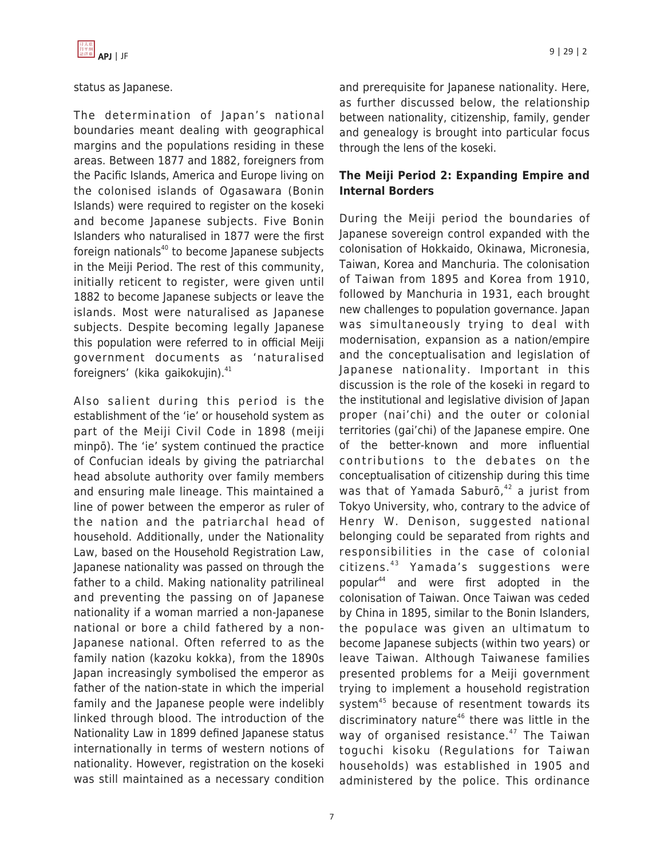

#### status as Japanese.

The determination of Japan's national boundaries meant dealing with geographical margins and the populations residing in these areas. Between 1877 and 1882, foreigners from the Pacific Islands, America and Europe living on the colonised islands of Ogasawara (Bonin Islands) were required to register on the koseki and become Japanese subjects. Five Bonin Islanders who naturalised in 1877 were the first foreign nationals $40$  to become Japanese subjects in the Meiji Period. The rest of this community, initially reticent to register, were given until 1882 to become Japanese subjects or leave the islands. Most were naturalised as Japanese subjects. Despite becoming legally Japanese this population were referred to in official Meiji government documents as 'naturalised foreigners' (kika gaikokujin).<sup>41</sup>

Also salient during this period is the establishment of the 'ie' or household system as part of the Meiji Civil Code in 1898 (meiji minpō). The 'ie' system continued the practice of Confucian ideals by giving the patriarchal head absolute authority over family members and ensuring male lineage. This maintained a line of power between the emperor as ruler of the nation and the patriarchal head of household. Additionally, under the Nationality Law, based on the Household Registration Law, Japanese nationality was passed on through the father to a child. Making nationality patrilineal and preventing the passing on of Japanese nationality if a woman married a non-Japanese national or bore a child fathered by a non-Japanese national. Often referred to as the family nation (kazoku kokka), from the 1890s Japan increasingly symbolised the emperor as father of the nation-state in which the imperial family and the Japanese people were indelibly linked through blood. The introduction of the Nationality Law in 1899 defined Japanese status internationally in terms of western notions of nationality. However, registration on the koseki was still maintained as a necessary condition and prerequisite for Japanese nationality. Here, as further discussed below, the relationship between nationality, citizenship, family, gender and genealogy is brought into particular focus through the lens of the koseki.

## **The Meiji Period 2: Expanding Empire and Internal Borders**

During the Meiji period the boundaries of Japanese sovereign control expanded with the colonisation of Hokkaido, Okinawa, Micronesia, Taiwan, Korea and Manchuria. The colonisation of Taiwan from 1895 and Korea from 1910, followed by Manchuria in 1931, each brought new challenges to population governance. Japan was simultaneously trying to deal with modernisation, expansion as a nation/empire and the conceptualisation and legislation of Japanese nationality. Important in this discussion is the role of the koseki in regard to the institutional and legislative division of Japan proper (nai'chi) and the outer or colonial territories (gai'chi) of the Japanese empire. One of the better-known and more influential contributions to the debates on the conceptualisation of citizenship during this time was that of Yamada Saburō, $42$  a jurist from Tokyo University, who, contrary to the advice of Henry W. Denison, suggested national belonging could be separated from rights and responsibilities in the case of colonial  $c$ itizens. $43$  Yamada's suggestions were popular<sup>44</sup> and were first adopted in the colonisation of Taiwan. Once Taiwan was ceded by China in 1895, similar to the Bonin Islanders, the populace was given an ultimatum to become Japanese subjects (within two years) or leave Taiwan. Although Taiwanese families presented problems for a Meiji government trying to implement a household registration system<sup>45</sup> because of resentment towards its discriminatory nature $46$  there was little in the way of organised resistance. $47$  The Taiwan toguchi kisoku (Regulations for Taiwan households) was established in 1905 and administered by the police. This ordinance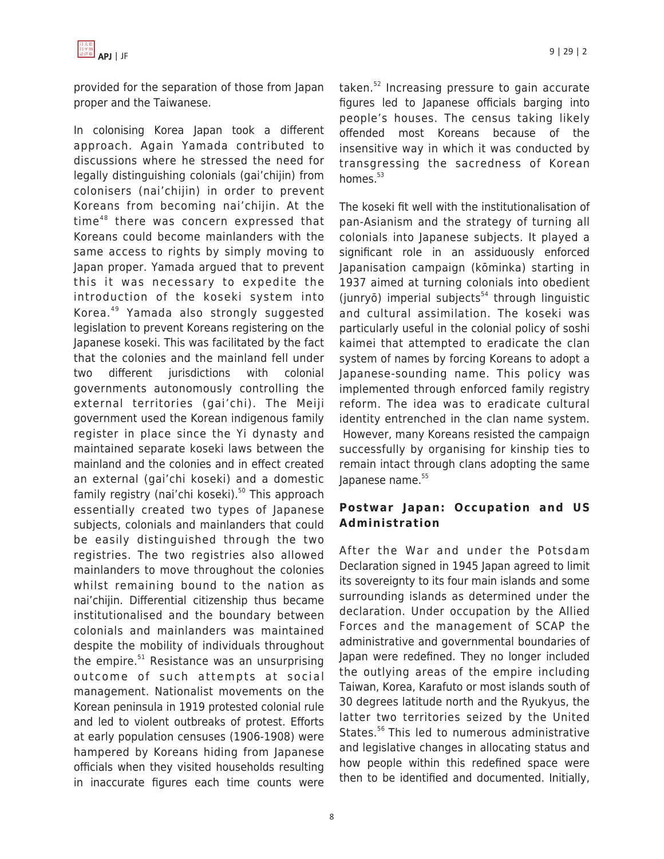

provided for the separation of those from Japan proper and the Taiwanese.

In colonising Korea Japan took a different approach. Again Yamada contributed to discussions where he stressed the need for legally distinguishing colonials (gai'chijin) from colonisers (nai'chijin) in order to prevent Koreans from becoming nai'chijin. At the time<sup>48</sup> there was concern expressed that Koreans could become mainlanders with the same access to rights by simply moving to Japan proper. Yamada argued that to prevent this it was necessary to expedite the introduction of the koseki system into Korea.<sup>49</sup> Yamada also strongly suggested legislation to prevent Koreans registering on the Japanese koseki. This was facilitated by the fact that the colonies and the mainland fell under two different jurisdictions with colonial governments autonomously controlling the external territories (gai'chi). The Meiji government used the Korean indigenous family register in place since the Yi dynasty and maintained separate koseki laws between the mainland and the colonies and in effect created an external (gai'chi koseki) and a domestic family registry (nai'chi koseki). $50$  This approach essentially created two types of Japanese subjects, colonials and mainlanders that could be easily distinguished through the two registries. The two registries also allowed mainlanders to move throughout the colonies whilst remaining bound to the nation as nai'chijin. Differential citizenship thus became institutionalised and the boundary between colonials and mainlanders was maintained despite the mobility of individuals throughout the empire. $51$  Resistance was an unsurprising outcome of such attempts at social management. Nationalist movements on the Korean peninsula in 1919 protested colonial rule and led to violent outbreaks of protest. Efforts at early population censuses (1906-1908) were hampered by Koreans hiding from Japanese officials when they visited households resulting in inaccurate figures each time counts were taken.<sup>52</sup> Increasing pressure to gain accurate figures led to Japanese officials barging into people's houses. The census taking likely offended most Koreans because of the insensitive way in which it was conducted by transgressing the sacredness of Korean homes. $53$ 

The koseki fit well with the institutionalisation of pan-Asianism and the strategy of turning all colonials into Japanese subjects. It played a significant role in an assiduously enforced Japanisation campaign (kōminka) starting in 1937 aimed at turning colonials into obedient (junryō) imperial subjects<sup>54</sup> through linguistic and cultural assimilation. The koseki was particularly useful in the colonial policy of soshi kaimei that attempted to eradicate the clan system of names by forcing Koreans to adopt a Japanese-sounding name. This policy was implemented through enforced family registry reform. The idea was to eradicate cultural identity entrenched in the clan name system. However, many Koreans resisted the campaign successfully by organising for kinship ties to remain intact through clans adopting the same lapanese name.<sup>55</sup>

## **Postwar Japan: Occupation and US Administration**

After the War and under the Potsdam Declaration signed in 1945 Japan agreed to limit its sovereignty to its four main islands and some surrounding islands as determined under the declaration. Under occupation by the Allied Forces and the management of SCAP the administrative and governmental boundaries of Japan were redefined. They no longer included the outlying areas of the empire including Taiwan, Korea, Karafuto or most islands south of 30 degrees latitude north and the Ryukyus, the latter two territories seized by the United States.<sup>56</sup> This led to numerous administrative and legislative changes in allocating status and how people within this redefined space were then to be identified and documented. Initially,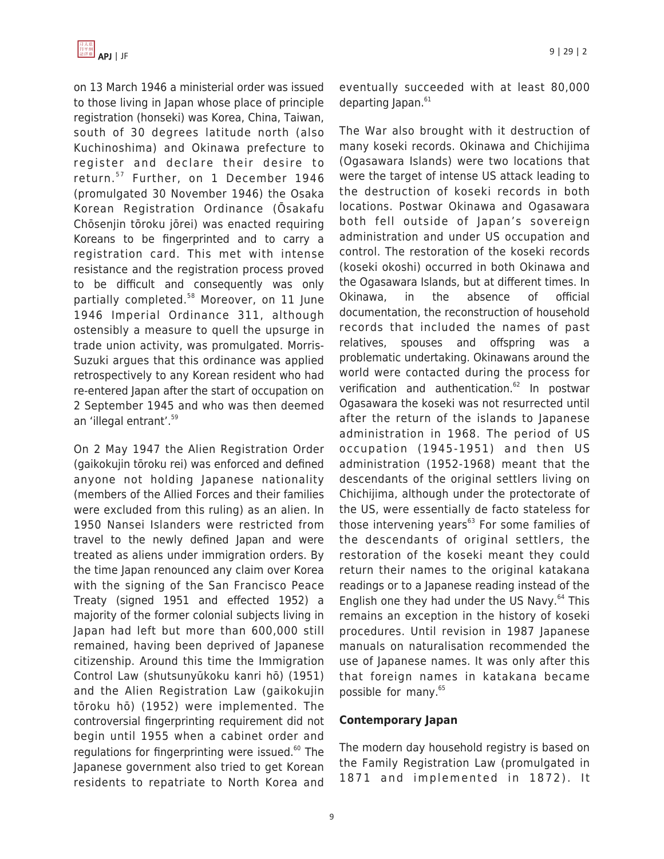

on 13 March 1946 a ministerial order was issued to those living in Japan whose place of principle registration (honseki) was Korea, China, Taiwan, south of 30 degrees latitude north (also Kuchinoshima) and Okinawa prefecture to register and declare their desire to return.<sup>57</sup> Further, on 1 December 1946 (promulgated 30 November 1946) the Osaka Korean Registration Ordinance (Ōsakafu Chōsenjin tōroku jōrei) was enacted requiring Koreans to be fingerprinted and to carry a registration card. This met with intense resistance and the registration process proved to be difficult and consequently was only partially completed.<sup>58</sup> Moreover, on 11 June 1946 Imperial Ordinance 311, although ostensibly a measure to quell the upsurge in trade union activity, was promulgated. Morris-Suzuki argues that this ordinance was applied retrospectively to any Korean resident who had re-entered Japan after the start of occupation on 2 September 1945 and who was then deemed an 'illegal entrant'.<sup>59</sup>

On 2 May 1947 the Alien Registration Order (gaikokujin tōroku rei) was enforced and defined anyone not holding Japanese nationality (members of the Allied Forces and their families were excluded from this ruling) as an alien. In 1950 Nansei Islanders were restricted from travel to the newly defined Japan and were treated as aliens under immigration orders. By the time Japan renounced any claim over Korea with the signing of the San Francisco Peace Treaty (signed 1951 and effected 1952) a majority of the former colonial subjects living in Japan had left but more than 600,000 still remained, having been deprived of Japanese citizenship. Around this time the Immigration Control Law (shutsunyūkoku kanri hō) (1951) and the Alien Registration Law (gaikokujin tōroku hō) (1952) were implemented. The controversial fingerprinting requirement did not begin until 1955 when a cabinet order and regulations for fingerprinting were issued.<sup>60</sup> The Japanese government also tried to get Korean residents to repatriate to North Korea and eventually succeeded with at least 80,000 departing Japan.<sup>61</sup>

The War also brought with it destruction of many koseki records. Okinawa and Chichijima (Ogasawara Islands) were two locations that were the target of intense US attack leading to the destruction of koseki records in both locations. Postwar Okinawa and Ogasawara both fell outside of Japan's sovereign administration and under US occupation and control. The restoration of the koseki records (koseki okoshi) occurred in both Okinawa and the Ogasawara Islands, but at different times. In Okinawa, in the absence of official documentation, the reconstruction of household records that included the names of past relatives, spouses and offspring was a problematic undertaking. Okinawans around the world were contacted during the process for verification and authentication.<sup>62</sup> In postwar Ogasawara the koseki was not resurrected until after the return of the islands to Japanese administration in 1968. The period of US occupation (1945-1951) and then US administration (1952-1968) meant that the descendants of the original settlers living on Chichijima, although under the protectorate of the US, were essentially de facto stateless for those intervening years $63$  For some families of the descendants of original settlers, the restoration of the koseki meant they could return their names to the original katakana readings or to a Japanese reading instead of the English one they had under the US Navy. $64$  This remains an exception in the history of koseki procedures. Until revision in 1987 Japanese manuals on naturalisation recommended the use of Japanese names. It was only after this that foreign names in katakana became possible for many.<sup>65</sup>

## **Contemporary Japan**

The modern day household registry is based on the Family Registration Law (promulgated in 1871 and implemented in 1872). It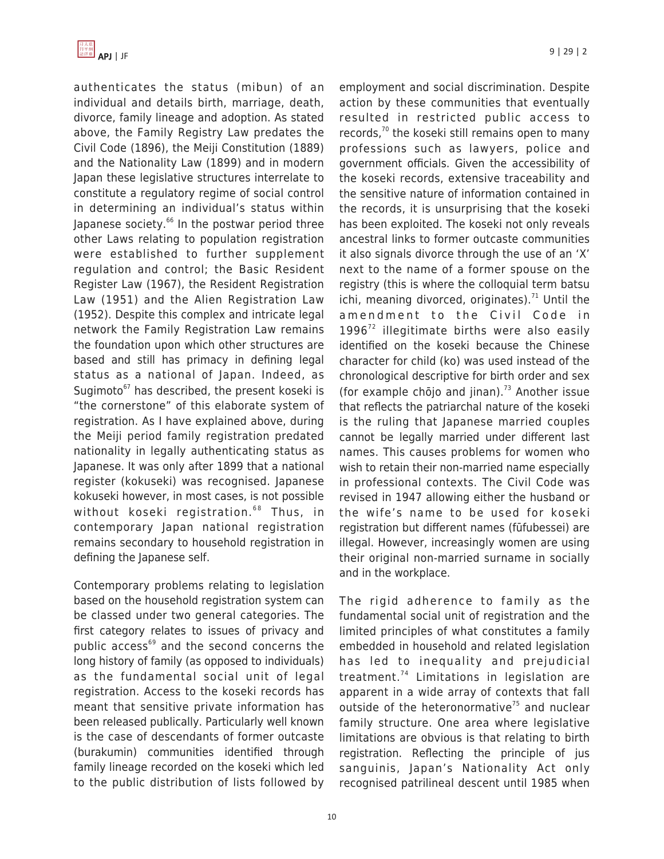authenticates the status (mibun) of an individual and details birth, marriage, death, divorce, family lineage and adoption. As stated above, the Family Registry Law predates the Civil Code (1896), the Meiji Constitution (1889) and the Nationality Law (1899) and in modern Japan these legislative structures interrelate to constitute a regulatory regime of social control in determining an individual's status within Japanese society.<sup>66</sup> In the postwar period three other Laws relating to population registration were established to further supplement regulation and control; the Basic Resident Register Law (1967), the Resident Registration Law (1951) and the Alien Registration Law (1952). Despite this complex and intricate legal network the Family Registration Law remains the foundation upon which other structures are based and still has primacy in defining legal status as a national of Japan. Indeed, as Sugimoto $67$  has described, the present koseki is "the cornerstone" of this elaborate system of registration. As I have explained above, during the Meiji period family registration predated nationality in legally authenticating status as Japanese. It was only after 1899 that a national register (kokuseki) was recognised. Japanese kokuseki however, in most cases, is not possible without koseki registration.<sup>68</sup> Thus, in contemporary Japan national registration remains secondary to household registration in defining the Japanese self.

Contemporary problems relating to legislation based on the household registration system can be classed under two general categories. The first category relates to issues of privacy and public access<sup>69</sup> and the second concerns the long history of family (as opposed to individuals) as the fundamental social unit of legal registration. Access to the koseki records has meant that sensitive private information has been released publically. Particularly well known is the case of descendants of former outcaste (burakumin) communities identified through family lineage recorded on the koseki which led to the public distribution of lists followed by employment and social discrimination. Despite action by these communities that eventually resulted in restricted public access to records, $70$  the koseki still remains open to many professions such as lawyers, police and government officials. Given the accessibility of the koseki records, extensive traceability and the sensitive nature of information contained in the records, it is unsurprising that the koseki has been exploited. The koseki not only reveals ancestral links to former outcaste communities it also signals divorce through the use of an 'X' next to the name of a former spouse on the registry (this is where the colloquial term batsu ichi, meaning divorced, originates). $71$  Until the amendment to the Civil Code in  $1996<sup>72</sup>$  illegitimate births were also easily identified on the koseki because the Chinese character for child (ko) was used instead of the chronological descriptive for birth order and sex (for example chōjo and jinan).<sup>73</sup> Another issue that reflects the patriarchal nature of the koseki is the ruling that Japanese married couples cannot be legally married under different last names. This causes problems for women who wish to retain their non-married name especially in professional contexts. The Civil Code was revised in 1947 allowing either the husband or the wife's name to be used for koseki registration but different names (fūfubessei) are illegal. However, increasingly women are using their original non-married surname in socially and in the workplace.

The rigid adherence to family as the fundamental social unit of registration and the limited principles of what constitutes a family embedded in household and related legislation has led to inequality and prejudicial treatment.<sup>74</sup> Limitations in legislation are apparent in a wide array of contexts that fall outside of the heteronormative<sup> $75$ </sup> and nuclear family structure. One area where legislative limitations are obvious is that relating to birth registration. Reflecting the principle of jus sanguinis, Japan's Nationality Act only recognised patrilineal descent until 1985 when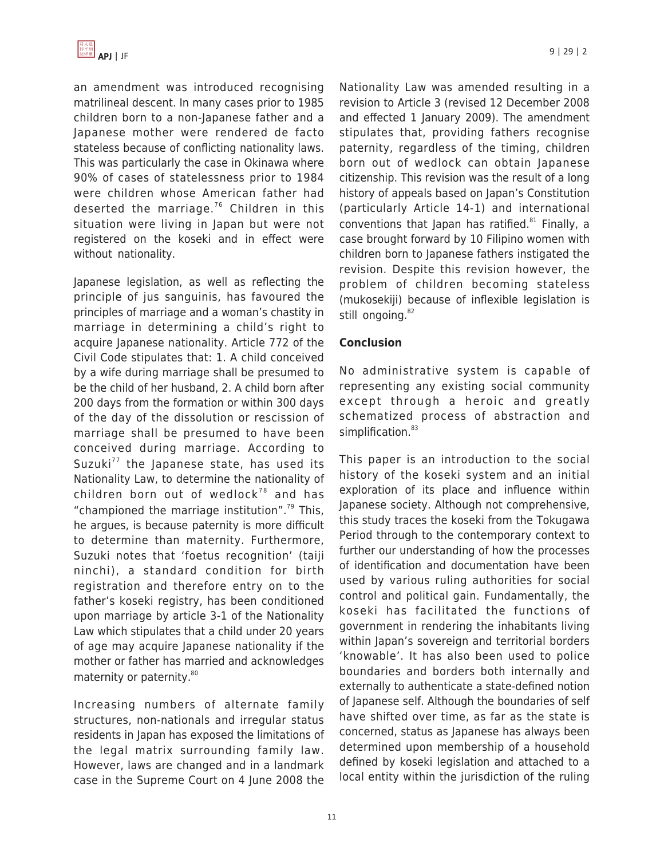an amendment was introduced recognising matrilineal descent. In many cases prior to 1985 children born to a non-Japanese father and a Japanese mother were rendered de facto stateless because of conflicting nationality laws. This was particularly the case in Okinawa where 90% of cases of statelessness prior to 1984 were children whose American father had deserted the marriage.<sup>76</sup> Children in this situation were living in Japan but were not registered on the koseki and in effect were without nationality.

Japanese legislation, as well as reflecting the principle of jus sanguinis, has favoured the principles of marriage and a woman's chastity in marriage in determining a child's right to acquire Japanese nationality. Article 772 of the Civil Code stipulates that: 1. A child conceived by a wife during marriage shall be presumed to be the child of her husband, 2. A child born after 200 days from the formation or within 300 days of the day of the dissolution or rescission of marriage shall be presumed to have been conceived during marriage. According to Suzuki $^{77}$  the Japanese state, has used its Nationality Law, to determine the nationality of children born out of wedlock<sup>78</sup> and has "championed the marriage institution". $79$  This, he argues, is because paternity is more difficult to determine than maternity. Furthermore, Suzuki notes that 'foetus recognition' (taiji ninchi), a standard condition for birth registration and therefore entry on to the father's koseki registry, has been conditioned upon marriage by article 3-1 of the Nationality Law which stipulates that a child under 20 years of age may acquire Japanese nationality if the mother or father has married and acknowledges maternity or paternity.<sup>80</sup>

Increasing numbers of alternate family structures, non-nationals and irregular status residents in Japan has exposed the limitations of the legal matrix surrounding family law. However, laws are changed and in a landmark case in the Supreme Court on 4 June 2008 the Nationality Law was amended resulting in a revision to Article 3 (revised 12 December 2008 and effected 1 January 2009). The amendment stipulates that, providing fathers recognise paternity, regardless of the timing, children born out of wedlock can obtain Japanese citizenship. This revision was the result of a long history of appeals based on Japan's Constitution (particularly Article 14-1) and international conventions that Japan has ratified. $81$  Finally, a case brought forward by 10 Filipino women with children born to Japanese fathers instigated the revision. Despite this revision however, the problem of children becoming stateless (mukosekiji) because of inflexible legislation is still ongoing.<sup>82</sup>

## **Conclusion**

No administrative system is capable of representing any existing social community except through a heroic and greatly schematized process of abstraction and simplification.<sup>83</sup>

This paper is an introduction to the social history of the koseki system and an initial exploration of its place and influence within Japanese society. Although not comprehensive, this study traces the koseki from the Tokugawa Period through to the contemporary context to further our understanding of how the processes of identification and documentation have been used by various ruling authorities for social control and political gain. Fundamentally, the koseki has facilitated the functions of government in rendering the inhabitants living within Japan's sovereign and territorial borders 'knowable'. It has also been used to police boundaries and borders both internally and externally to authenticate a state-defined notion of Japanese self. Although the boundaries of self have shifted over time, as far as the state is concerned, status as Japanese has always been determined upon membership of a household defined by koseki legislation and attached to a local entity within the jurisdiction of the ruling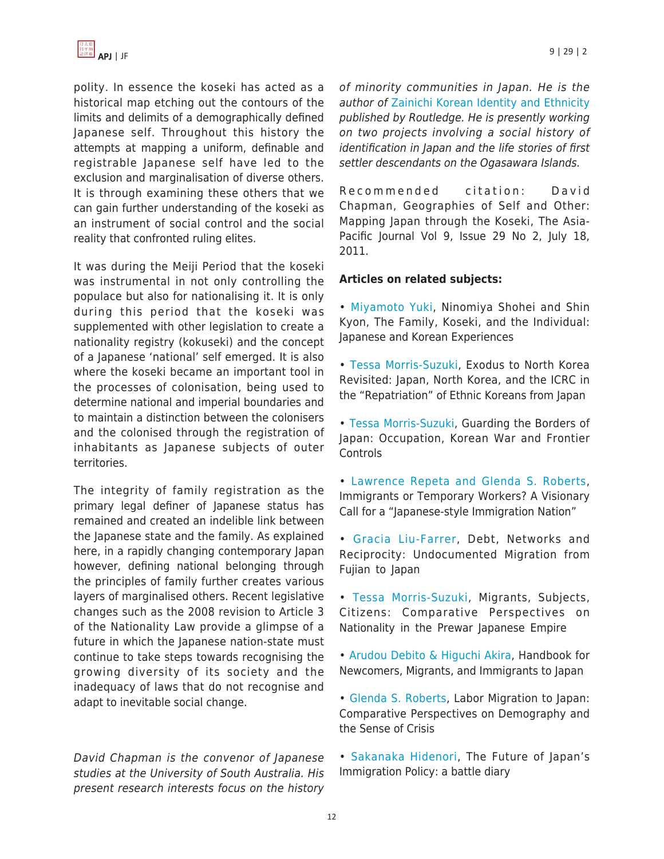polity. In essence the koseki has acted as a historical map etching out the contours of the limits and delimits of a demographically defined Japanese self. Throughout this history the attempts at mapping a uniform, definable and registrable Japanese self have led to the exclusion and marginalisation of diverse others. It is through examining these others that we can gain further understanding of the koseki as an instrument of social control and the social reality that confronted ruling elites.

It was during the Meiji Period that the koseki was instrumental in not only controlling the populace but also for nationalising it. It is only during this period that the koseki was supplemented with other legislation to create a nationality registry (kokuseki) and the concept of a Japanese 'national' self emerged. It is also where the koseki became an important tool in the processes of colonisation, being used to determine national and imperial boundaries and to maintain a distinction between the colonisers and the colonised through the registration of inhabitants as Japanese subjects of outer territories.

The integrity of family registration as the primary legal definer of Japanese status has remained and created an indelible link between the Japanese state and the family. As explained here, in a rapidly changing contemporary Japan however, defining national belonging through the principles of family further creates various layers of marginalised others. Recent legislative changes such as the 2008 revision to Article 3 of the Nationality Law provide a glimpse of a future in which the Japanese nation-state must continue to take steps towards recognising the growing diversity of its society and the inadequacy of laws that do not recognise and adapt to inevitable social change.

David Chapman is the convenor of Japanese studies at the University of South Australia. His present research interests focus on the history of minority communities in Japan. He is the author of [Zainichi Korean Identity and Ethnicity](http://www.amazon.com/dp/0415426375/?tag=theasipacjo0b-20) published by Routledge. He is presently working on two projects involving a social history of identification in Japan and the life stories of first settler descendants on the Ogasawara Islands.

Recommended citation: David Chapman, Geographies of Self and Other: Mapping Japan through the Koseki, The Asia-Pacific Journal Vol 9, Issue 29 No 2, July 18, 2011.

#### **Articles on related subjects:**

- • [Miyamoto Yuki](https://apjjf.org/-Shin-Kyon/3544), Ninomiya Shohei and Shin Kyon, The Family, Koseki, and the Individual: Japanese and Korean Experiences
- [Tessa Morris-Suzuki,](https://apjjf.org/-Tessa-Morris_Suzuki/3541) Exodus to North Korea Revisited: Japan, North Korea, and the ICRC in the "Repatriation" of Ethnic Koreans from Japan
- • [Tessa Morris-Suzuki](https://apjjf.org/-Tessa-Morris_Suzuki/3490), Guarding the Borders of Japan: Occupation, Korean War and Frontier **Controls**
- • [Lawrence Repeta and Glenda S. Roberts,](https://apjjf.org/-Glenda_S_-Roberts/3450) Immigrants or Temporary Workers? A Visionary Call for a "Japanese-style Immigration Nation"
- • [Gracia Liu-Farrer](https://apjjf.org/-Gracia-Liu_Farrer/3377), Debt, Networks and Reciprocity: Undocumented Migration from Fujian to Japan
- • [Tessa Morris-Suzuki,](https://apjjf.org/-Tessa-Morris_Suzuki/2862) Migrants, Subjects, Citizens: Comparative Perspectives on Nationality in the Prewar Japanese Empire
- • [Arudou Debito & Higuchi Akira,](https://apjjf.org/-A_-Higuchi/2708) Handbook for Newcomers, Migrants, and Immigrants to Japan
- [Glenda S. Roberts,](https://apjjf.org/-Glenda_S_-Roberts/2519) Labor Migration to Japan: Comparative Perspectives on Demography and the Sense of Crisis
- • [Sakanaka Hidenori,](https://apjjf.org/-Sakanaka-Hidenori/2396) The Future of Japan's Immigration Policy: a battle diary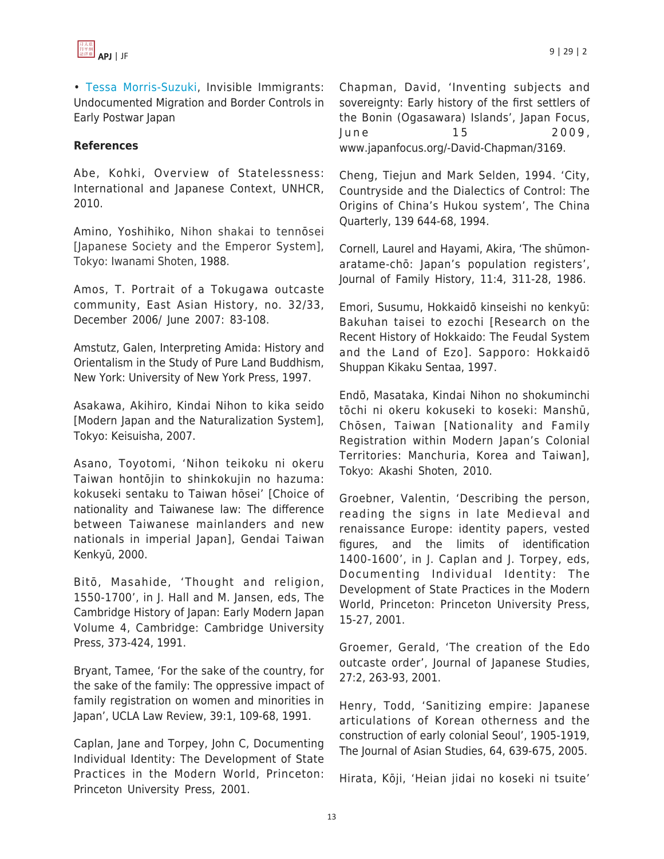

• [Tessa Morris-Suzuki,](https://apjjf.org/-Tessa-Morris_Suzuki/2210) Invisible Immigrants: Undocumented Migration and Border Controls in Early Postwar Japan

### **References**

Abe, Kohki, Overview of Statelessness: International and Japanese Context, UNHCR, 2010.

Amino, Yoshihiko, Nihon shakai to tennōsei [Japanese Society and the Emperor System], Tokyo: Iwanami Shoten, 1988.

Amos, T. Portrait of a Tokugawa outcaste community, East Asian History, no. 32/33, December 2006/ June 2007: 83-108.

Amstutz, Galen, Interpreting Amida: History and Orientalism in the Study of Pure Land Buddhism, New York: University of New York Press, 1997.

Asakawa, Akihiro, Kindai Nihon to kika seido [Modern Japan and the Naturalization System], Tokyo: Keisuisha, 2007.

Asano, Toyotomi, 'Nihon teikoku ni okeru Taiwan hontōjin to shinkokujin no hazuma: kokuseki sentaku to Taiwan hōsei' [Choice of nationality and Taiwanese law: The difference between Taiwanese mainlanders and new nationals in imperial Japan], Gendai Taiwan Kenkyū, 2000.

Bitō, Masahide, 'Thought and religion, 1550-1700', in J. Hall and M. Jansen, eds, The Cambridge History of Japan: Early Modern Japan Volume 4, Cambridge: Cambridge University Press, 373-424, 1991.

Bryant, Tamee, 'For the sake of the country, for the sake of the family: The oppressive impact of family registration on women and minorities in Japan', UCLA Law Review, 39:1, 109-68, 1991.

Caplan, Jane and Torpey, John C, Documenting Individual Identity: The Development of State Practices in the Modern World, Princeton: Princeton University Press, 2001.

Chapman, David, 'Inventing subjects and sovereignty: Early history of the first settlers of the Bonin (Ogasawara) Islands', Japan Focus, June 15 2009, www.japanfocus.org/-David-Chapman/3169.

Cheng, Tiejun and Mark Selden, 1994. 'City, Countryside and the Dialectics of Control: The Origins of China's Hukou system', The China Quarterly, 139 644-68, 1994.

Cornell, Laurel and Hayami, Akira, 'The shūmonaratame-chō: Japan's population registers', Journal of Family History, 11:4, 311-28, 1986.

Emori, Susumu, Hokkaidō kinseishi no kenkyū: Bakuhan taisei to ezochi [Research on the Recent History of Hokkaido: The Feudal System and the Land of Ezo]. Sapporo: Hokkaidō Shuppan Kikaku Sentaa, 1997.

Endō, Masataka, Kindai Nihon no shokuminchi tōchi ni okeru kokuseki to koseki: Manshū, Chōsen, Taiwan [Nationality and Family Registration within Modern Japan's Colonial Territories: Manchuria, Korea and Taiwan], Tokyo: Akashi Shoten, 2010.

Groebner, Valentin, 'Describing the person, reading the signs in late Medieval and renaissance Europe: identity papers, vested figures, and the limits of identification 1400-1600', in J. Caplan and J. Torpey, eds, Documenting Individual Identity: The Development of State Practices in the Modern World, Princeton: Princeton University Press, 15-27, 2001.

Groemer, Gerald, 'The creation of the Edo outcaste order', Journal of Japanese Studies, 27:2, 263-93, 2001.

Henry, Todd, 'Sanitizing empire: Japanese articulations of Korean otherness and the construction of early colonial Seoul', 1905-1919, The Journal of Asian Studies, 64, 639-675, 2005.

Hirata, Kōji, 'Heian jidai no koseki ni tsuite'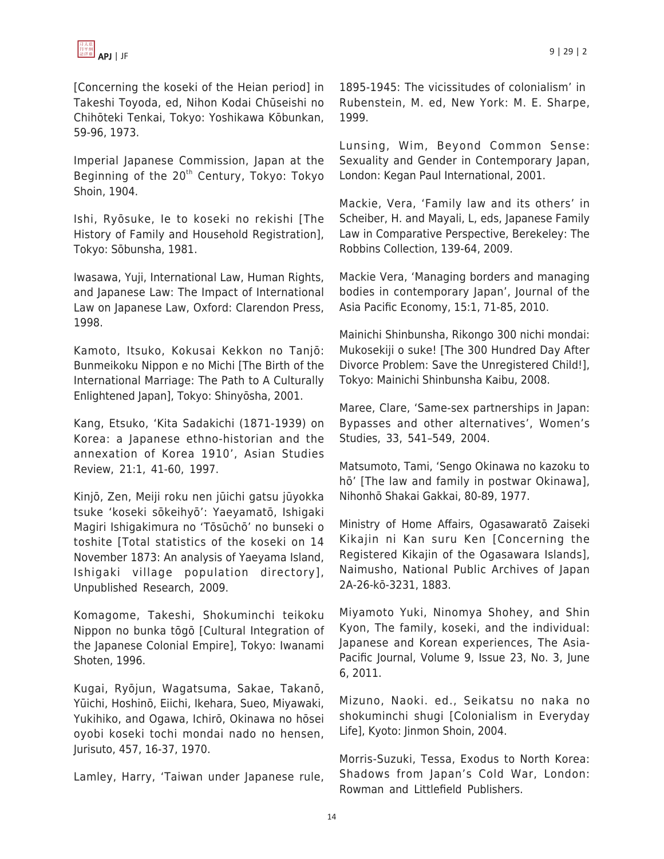

[Concerning the koseki of the Heian period] in Takeshi Toyoda, ed, Nihon Kodai Chūseishi no Chihōteki Tenkai, Tokyo: Yoshikawa Kōbunkan, 59-96, 1973.

Imperial Japanese Commission, Japan at the Beginning of the  $20<sup>th</sup>$  Century, Tokyo: Tokyo Shoin, 1904.

Ishi, Ryōsuke, Ie to koseki no rekishi [The History of Family and Household Registration], Tokyo: Sōbunsha, 1981.

Iwasawa, Yuji, International Law, Human Rights, and Japanese Law: The Impact of International Law on Japanese Law, Oxford: Clarendon Press, 1998.

Kamoto, Itsuko, Kokusai Kekkon no Tanjō: Bunmeikoku Nippon e no Michi [The Birth of the International Marriage: The Path to A Culturally Enlightened Japan], Tokyo: Shinyōsha, 2001.

Kang, Etsuko, 'Kita Sadakichi (1871-1939) on Korea: a Japanese ethno-historian and the annexation of Korea 1910', Asian Studies Review, 21:1, 41-60, 1997.

Kinjō, Zen, Meiji roku nen jūichi gatsu jūyokka tsuke 'koseki sōkeihyō': Yaeyamatō, Ishigaki Magiri Ishigakimura no 'Tōsūchō' no bunseki o toshite [Total statistics of the koseki on 14 November 1873: An analysis of Yaeyama Island, Ishigaki village population directory], Unpublished Research, 2009.

Komagome, Takeshi, Shokuminchi teikoku Nippon no bunka tōgō [Cultural Integration of the Japanese Colonial Empire], Tokyo: Iwanami Shoten, 1996.

Kugai, Ryōjun, Wagatsuma, Sakae, Takanō, Yūichi, Hoshinō, Eiichi, Ikehara, Sueo, Miyawaki, Yukihiko, and Ogawa, Ichirō, Okinawa no hōsei oyobi koseki tochi mondai nado no hensen, Jurisuto, 457, 16-37, 1970.

Lamley, Harry, 'Taiwan under Japanese rule,

1895-1945: The vicissitudes of colonialism' in Rubenstein, M. ed, New York: M. E. Sharpe, 1999.

Lunsing, Wim, Beyond Common Sense: Sexuality and Gender in Contemporary Japan, London: Kegan Paul International, 2001.

Mackie, Vera, 'Family law and its others' in Scheiber, H. and Mayali, L, eds, Japanese Family Law in Comparative Perspective, Berekeley: The Robbins Collection, 139-64, 2009.

Mackie Vera, 'Managing borders and managing bodies in contemporary Japan', Journal of the Asia Pacific Economy, 15:1, 71-85, 2010.

Mainichi Shinbunsha, Rikongo 300 nichi mondai: Mukosekiji o suke! [The 300 Hundred Day After Divorce Problem: Save the Unregistered Child!], Tokyo: Mainichi Shinbunsha Kaibu, 2008.

Maree, Clare, 'Same-sex partnerships in Japan: Bypasses and other alternatives', Women's Studies, 33, 541–549, 2004.

Matsumoto, Tami, 'Sengo Okinawa no kazoku to hō' [The law and family in postwar Okinawa], Nihonhō Shakai Gakkai, 80-89, 1977.

Ministry of Home Affairs, Ogasawaratō Zaiseki Kikajin ni Kan suru Ken [Concerning the Registered Kikajin of the Ogasawara Islands], Naimusho, National Public Archives of Japan 2A-26-kō-3231, 1883.

Miyamoto Yuki, Ninomya Shohey, and Shin Kyon, The family, koseki, and the individual: Japanese and Korean experiences, The Asia-Pacific Journal, Volume 9, Issue 23, No. 3, June 6, 2011.

Mizuno, Naoki. ed., Seikatsu no naka no shokuminchi shugi [Colonialism in Everyday Life], Kyoto: Jinmon Shoin, 2004.

Morris-Suzuki, Tessa, Exodus to North Korea: Shadows from Japan's Cold War, London: Rowman and Littlefield Publishers.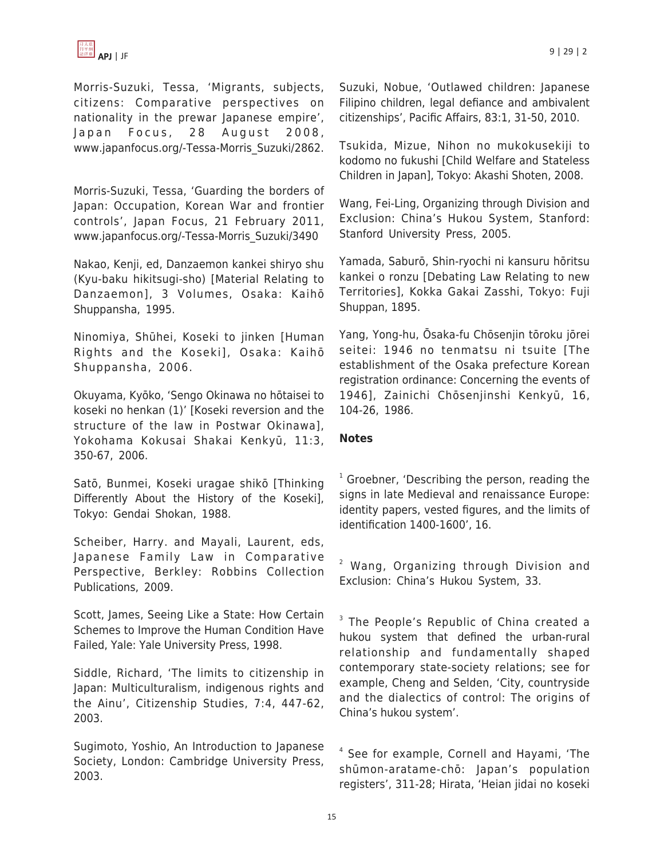

Morris-Suzuki, Tessa, 'Migrants, subjects, citizens: Comparative perspectives on nationality in the prewar Japanese empire', Japan Focus, 28 August 2008, www.japanfocus.org/-Tessa-Morris\_Suzuki/2862.

Morris-Suzuki, Tessa, 'Guarding the borders of Japan: Occupation, Korean War and frontier controls', Japan Focus, 21 February 2011, www.japanfocus.org/-Tessa-Morris\_Suzuki/3490

Nakao, Kenji, ed, Danzaemon kankei shiryo shu (Kyu-baku hikitsugi-sho) [Material Relating to Danzaemon], 3 Volumes, Osaka: Kaihō Shuppansha, 1995.

Ninomiya, Shūhei, Koseki to jinken [Human Rights and the Koseki], Osaka: Kaihō Shuppansha, 2006.

Okuyama, Kyōko, 'Sengo Okinawa no hōtaisei to koseki no henkan (1)' [Koseki reversion and the structure of the law in Postwar Okinawa], Yokohama Kokusai Shakai Kenkyū, 11:3, 350-67, 2006.

Satō, Bunmei, Koseki uragae shikō [Thinking Differently About the History of the Koseki], Tokyo: Gendai Shokan, 1988.

Scheiber, Harry. and Mayali, Laurent, eds, Japanese Family Law in Comparative Perspective, Berkley: Robbins Collection Publications, 2009.

Scott, James, Seeing Like a State: How Certain Schemes to Improve the Human Condition Have Failed, Yale: Yale University Press, 1998.

Siddle, Richard, 'The limits to citizenship in Japan: Multiculturalism, indigenous rights and the Ainu', Citizenship Studies, 7:4, 447-62, 2003.

Sugimoto, Yoshio, An Introduction to Japanese Society, London: Cambridge University Press, 2003.

Suzuki, Nobue, 'Outlawed children: Japanese Filipino children, legal defiance and ambivalent citizenships', Pacific Affairs, 83:1, 31-50, 2010.

Tsukida, Mizue, Nihon no mukokusekiji to kodomo no fukushi [Child Welfare and Stateless Children in Japan], Tokyo: Akashi Shoten, 2008.

Wang, Fei-Ling, Organizing through Division and Exclusion: China's Hukou System, Stanford: Stanford University Press, 2005.

Yamada, Saburō, Shin-ryochi ni kansuru hōritsu kankei o ronzu [Debating Law Relating to new Territories], Kokka Gakai Zasshi, Tokyo: Fuji Shuppan, 1895.

Yang, Yong-hu, Ōsaka-fu Chōsenjin tōroku jōrei seitei: 1946 no tenmatsu ni tsuite [The establishment of the Osaka prefecture Korean registration ordinance: Concerning the events of 1946], Zainichi Chōsenjinshi Kenkyū, 16, 104-26, 1986.

## **Notes**

<sup>1</sup> Groebner, 'Describing the person, reading the signs in late Medieval and renaissance Europe: identity papers, vested figures, and the limits of identification 1400-1600', 16.

<sup>2</sup> Wang, Organizing through Division and Exclusion: China's Hukou System, 33.

<sup>3</sup> The People's Republic of China created a hukou system that defined the urban-rural relationship and fundamentally shaped contemporary state-society relations; see for example, Cheng and Selden, 'City, countryside and the dialectics of control: The origins of China's hukou system'.

4 See for example, Cornell and Hayami, 'The shūmon-aratame-chō: Japan's population registers', 311-28; Hirata, 'Heian jidai no koseki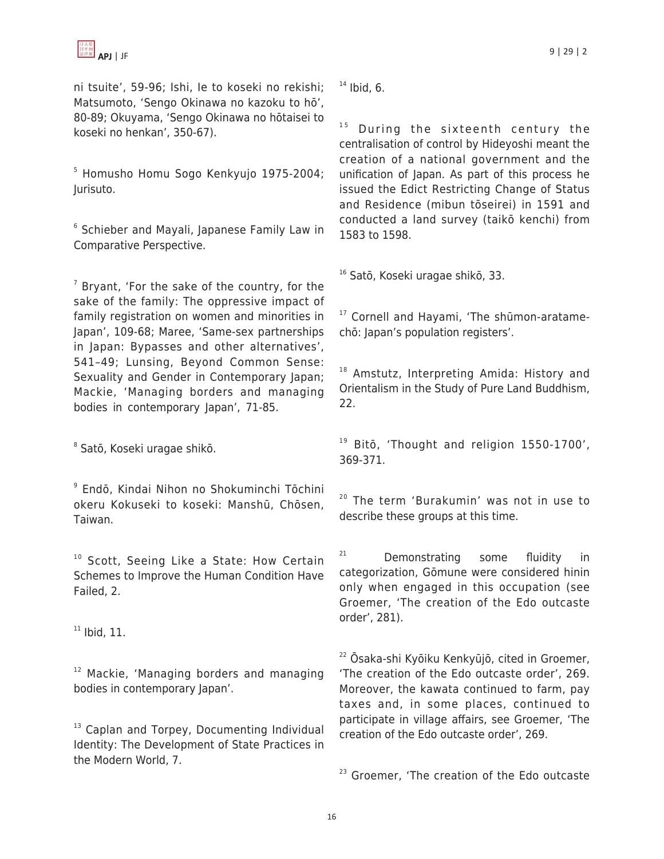ni tsuite', 59-96; Ishi, Ie to koseki no rekishi; Matsumoto, 'Sengo Okinawa no kazoku to hō', 80-89; Okuyama, 'Sengo Okinawa no hōtaisei to koseki no henkan', 350-67).

<sup>5</sup> Homusho Homu Sogo Kenkyujo 1975-2004; Jurisuto.

<sup>6</sup> Schieber and Mayali, Japanese Family Law in Comparative Perspective.

 $7$  Bryant, 'For the sake of the country, for the sake of the family: The oppressive impact of family registration on women and minorities in Japan', 109-68; Maree, 'Same-sex partnerships in Japan: Bypasses and other alternatives', 541–49; Lunsing, Beyond Common Sense: Sexuality and Gender in Contemporary Japan; Mackie, 'Managing borders and managing bodies in contemporary Japan', 71-85.

8 Satō, Koseki uragae shikō.

9 Endō, Kindai Nihon no Shokuminchi Tōchini okeru Kokuseki to koseki: Manshū, Chōsen, Taiwan.

<sup>10</sup> Scott, Seeing Like a State: How Certain Schemes to Improve the Human Condition Have Failed, 2.

 $11$  Ibid, 11.

<sup>12</sup> Mackie, 'Managing borders and managing bodies in contemporary Japan'.

<sup>13</sup> Caplan and Torpey, Documenting Individual Identity: The Development of State Practices in the Modern World, 7.

 $14$  Ibid, 6.

 $15$  During the sixteenth century the centralisation of control by Hideyoshi meant the creation of a national government and the unification of Japan. As part of this process he issued the Edict Restricting Change of Status and Residence (mibun tōseirei) in 1591 and conducted a land survey (taikō kenchi) from 1583 to 1598.

<sup>16</sup> Satō, Koseki uragae shikō, 33.

<sup>17</sup> Cornell and Hayami, 'The shūmon-aratamechō: Japan's population registers'.

<sup>18</sup> Amstutz, Interpreting Amida: History and Orientalism in the Study of Pure Land Buddhism, 22.

<sup>19</sup> Bitō, 'Thought and religion 1550-1700', 369-371.

<sup>20</sup> The term 'Burakumin' was not in use to describe these groups at this time.

<sup>21</sup> Demonstrating some fluidity in categorization, Gōmune were considered hinin only when engaged in this occupation (see Groemer, 'The creation of the Edo outcaste order', 281).

<sup>22</sup> Ōsaka-shi Kyōiku Kenkyūjō, cited in Groemer, 'The creation of the Edo outcaste order', 269. Moreover, the kawata continued to farm, pay taxes and, in some places, continued to participate in village affairs, see Groemer, 'The creation of the Edo outcaste order', 269.

<sup>23</sup> Groemer, 'The creation of the Edo outcaste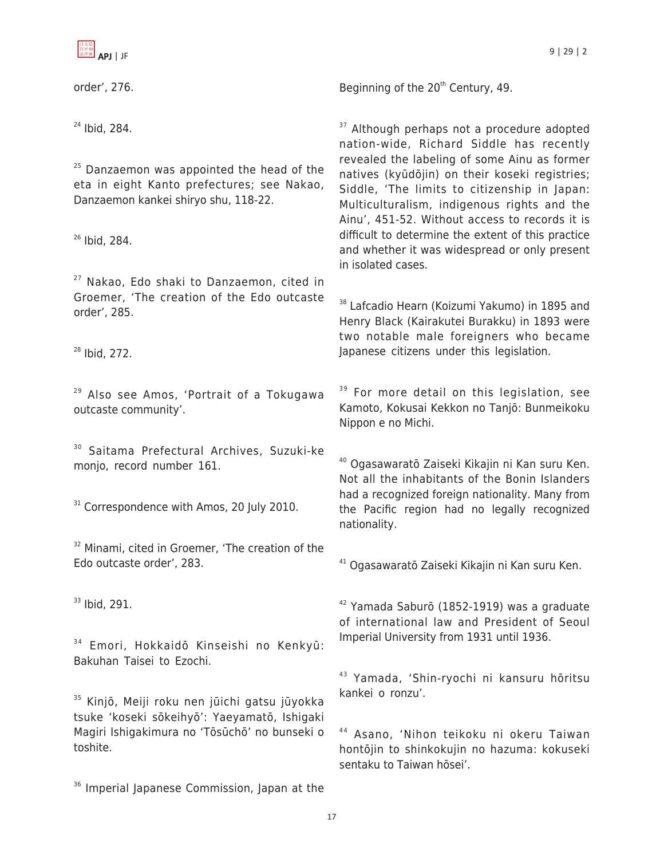

order', 276.

 $25$  Danzaemon was appointed the head of the eta in eight Kanto prefectures; see Nakao, Danzaemon kankei shiryo shu, 118-22.

<sup>26</sup> Ibid. 284.

<sup>27</sup> Nakao, Edo shaki to Danzaemon, cited in Groemer, 'The creation of the Edo outcaste order', 285.

<sup>28</sup> Ibid, 272.

<sup>29</sup> Also see Amos, 'Portrait of a Tokugawa outcaste community'.

<sup>30</sup> Saitama Prefectural Archives, Suzuki-ke monjo, record number 161.

 $31$  Correspondence with Amos, 20 July 2010.

<sup>32</sup> Minami, cited in Groemer, 'The creation of the Edo outcaste order', 283.

<sup>33</sup> Ibid, 291.

<sup>34</sup> Emori, Hokkaidō Kinseishi no Kenkyū: Bakuhan Taisei to Ezochi.

<sup>35</sup> Kinjō, Meiji roku nen jūichi gatsu jūyokka tsuke 'koseki sōkeihyō': Yaeyamatō, Ishigaki Magiri Ishigakimura no 'Tōsūchō' no bunseki o toshite.

<sup>36</sup> Imperial Japanese Commission, Japan at the

Beginning of the  $20<sup>th</sup>$  Century, 49.

<sup>37</sup> Although perhaps not a procedure adopted nation-wide, Richard Siddle has recently revealed the labeling of some Ainu as former natives (kyūdōjin) on their koseki registries; Siddle, 'The limits to citizenship in Japan: Multiculturalism, indigenous rights and the Ainu', 451-52. Without access to records it is difficult to determine the extent of this practice and whether it was widespread or only present in isolated cases.

<sup>38</sup> Lafcadio Hearn (Koizumi Yakumo) in 1895 and Henry Black (Kairakutei Burakku) in 1893 were two notable male foreigners who became Japanese citizens under this legislation.

<sup>39</sup> For more detail on this legislation, see Kamoto, Kokusai Kekkon no Tanjō: Bunmeikoku Nippon e no Michi.

<sup>40</sup> Ogasawaratō Zaiseki Kikajin ni Kan suru Ken. Not all the inhabitants of the Bonin Islanders had a recognized foreign nationality. Many from the Pacific region had no legally recognized nationality.

<sup>41</sup> Ogasawaratō Zaiseki Kikajin ni Kan suru Ken.

<sup>42</sup> Yamada Saburō (1852-1919) was a graduate of international law and President of Seoul Imperial University from 1931 until 1936.

<sup>43</sup> Yamada, 'Shin-ryochi ni kansuru hōritsu kankei o ronzu'.

<sup>44</sup> Asano, 'Nihon teikoku ni okeru Taiwan hontōjin to shinkokujin no hazuma: kokuseki sentaku to Taiwan hōsei'.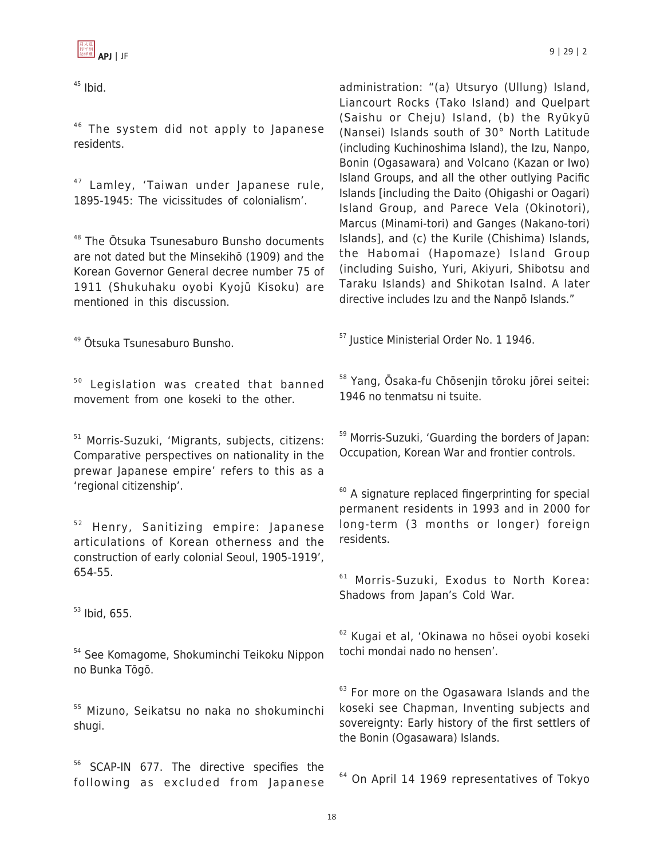$45$  Ibid.

 $46$  The system did not apply to Japanese residents.

<sup>47</sup> Lamley, 'Taiwan under Japanese rule, 1895-1945: The vicissitudes of colonialism'.

<sup>48</sup> The Ōtsuka Tsunesaburo Bunsho documents are not dated but the Minsekihō (1909) and the Korean Governor General decree number 75 of 1911 (Shukuhaku oyobi Kyojū Kisoku) are mentioned in this discussion.

<sup>49</sup> Ōtsuka Tsunesaburo Bunsho.

 $50$  Legislation was created that banned movement from one koseki to the other.

<sup>51</sup> Morris-Suzuki, 'Migrants, subjects, citizens: Comparative perspectives on nationality in the prewar Japanese empire' refers to this as a 'regional citizenship'.

 $52$  Henry, Sanitizing empire: Japanese articulations of Korean otherness and the construction of early colonial Seoul, 1905-1919', 654-55.

 $53$  Ibid, 655.

<sup>54</sup> See Komagome, Shokuminchi Teikoku Nippon no Bunka Tōgō.

<sup>55</sup> Mizuno, Seikatsu no naka no shokuminchi shugi.

<sup>56</sup> SCAP-IN 677. The directive specifies the following as excluded from Japanese administration: "(a) Utsuryo (Ullung) Island, Liancourt Rocks (Tako Island) and Quelpart (Saishu or Cheju) Island, (b) the Ryūkyū (Nansei) Islands south of 30° North Latitude (including Kuchinoshima Island), the Izu, Nanpo, Bonin (Ogasawara) and Volcano (Kazan or Iwo) Island Groups, and all the other outlying Pacific Islands [including the Daito (Ohigashi or Oagari) Island Group, and Parece Vela (Okinotori), Marcus (Minami-tori) and Ganges (Nakano-tori) Islands], and (c) the Kurile (Chishima) Islands, the Habomai (Hapomaze) Island Group (including Suisho, Yuri, Akiyuri, Shibotsu and Taraku Islands) and Shikotan Isalnd. A later directive includes Izu and the Nanpō Islands."

<sup>57</sup> Justice Ministerial Order No. 1 1946.

<sup>58</sup> Yang, Ōsaka-fu Chōsenjin tōroku jōrei seitei: 1946 no tenmatsu ni tsuite.

<sup>59</sup> Morris-Suzuki, 'Guarding the borders of Japan: Occupation, Korean War and frontier controls.

 $60$  A signature replaced fingerprinting for special permanent residents in 1993 and in 2000 for long-term (3 months or longer) foreign residents.

<sup>61</sup> Morris-Suzuki, Exodus to North Korea: Shadows from Japan's Cold War.

<sup>62</sup> Kugai et al, 'Okinawa no hōsei oyobi koseki tochi mondai nado no hensen'.

<sup>63</sup> For more on the Ogasawara Islands and the koseki see Chapman, Inventing subjects and sovereignty: Early history of the first settlers of the Bonin (Ogasawara) Islands.

<sup>64</sup> On April 14 1969 representatives of Tokyo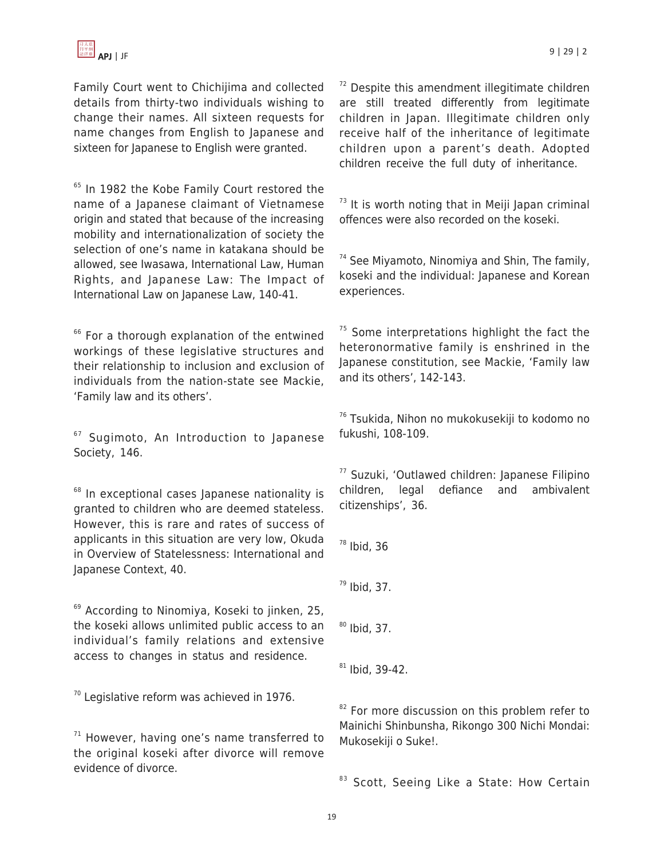Family Court went to Chichijima and collected details from thirty-two individuals wishing to change their names. All sixteen requests for name changes from English to Japanese and sixteen for Japanese to English were granted.

<sup>65</sup> In 1982 the Kobe Family Court restored the name of a Japanese claimant of Vietnamese origin and stated that because of the increasing mobility and internationalization of society the selection of one's name in katakana should be allowed, see Iwasawa, International Law, Human Rights, and Japanese Law: The Impact of International Law on Japanese Law, 140-41.

<sup>66</sup> For a thorough explanation of the entwined workings of these legislative structures and their relationship to inclusion and exclusion of individuals from the nation-state see Mackie, 'Family law and its others'.

 $67$  Sugimoto, An Introduction to Japanese Society, 146.

<sup>68</sup> In exceptional cases Japanese nationality is granted to children who are deemed stateless. However, this is rare and rates of success of applicants in this situation are very low, Okuda in Overview of Statelessness: International and Japanese Context, 40.

<sup>69</sup> According to Ninomiya, Koseki to jinken, 25, the koseki allows unlimited public access to an individual's family relations and extensive access to changes in status and residence.

 $70$  Legislative reform was achieved in 1976.

 $71$  However, having one's name transferred to the original koseki after divorce will remove evidence of divorce.

 $72$  Despite this amendment illegitimate children are still treated differently from legitimate children in Japan. Illegitimate children only receive half of the inheritance of legitimate children upon a parent's death. Adopted children receive the full duty of inheritance.

 $73$  It is worth noting that in Meiji Japan criminal offences were also recorded on the koseki.

 $74$  See Miyamoto, Ninomiya and Shin, The family, koseki and the individual: Japanese and Korean experiences.

 $75$  Some interpretations highlight the fact the heteronormative family is enshrined in the Japanese constitution, see Mackie, 'Family law and its others', 142-143.

<sup>76</sup> Tsukida, Nihon no mukokusekiji to kodomo no fukushi, 108-109.

<sup>77</sup> Suzuki, 'Outlawed children: Japanese Filipino children, legal defiance and ambivalent citizenships', 36.

 $78$  Ibid, 36

 $79$  Ibid, 37.

 $80$  Ibid, 37.

 $81$  Ibid, 39-42.

<sup>82</sup> For more discussion on this problem refer to Mainichi Shinbunsha, Rikongo 300 Nichi Mondai: Mukosekiji o Suke!.

83 Scott, Seeing Like a State: How Certain